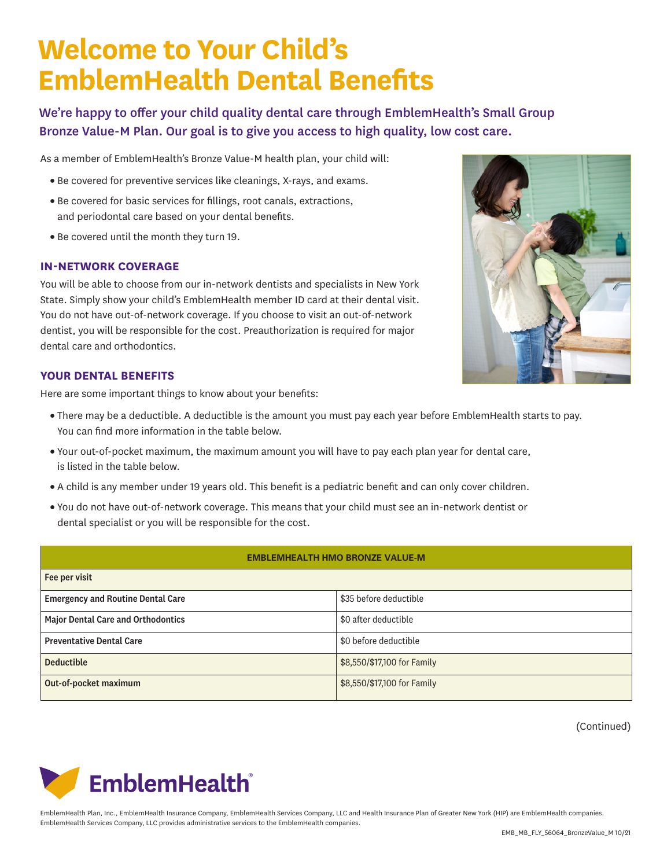# **Welcome to Your Child's EmblemHealth Dental Benefits**

We're happy to offer your child quality dental care through EmblemHealth's Small Group Bronze Value-M Plan. Our goal is to give you access to high quality, low cost care.

As a member of EmblemHealth's Bronze Value-M health plan, your child will:

- Be covered for preventive services like cleanings, X-rays, and exams.
- Be covered for basic services for fillings, root canals, extractions, and periodontal care based on your dental benefits.
- Be covered until the month they turn 19.

#### **IN-NETWORK COVERAGE**

You will be able to choose from our in-network dentists and specialists in New York State. Simply show your child's EmblemHealth member ID card at their dental visit. You do not have out-of-network coverage. If you choose to visit an out-of-network dentist, you will be responsible for the cost. Preauthorization is required for major dental care and orthodontics.

### **YOUR DENTAL BENEFITS**

Here are some important things to know about your benefits:

- There may be a deductible. A deductible is the amount you must pay each year before EmblemHealth starts to pay. You can find more information in the table below.
- Your out-of-pocket maximum, the maximum amount you will have to pay each plan year for dental care, is listed in the table below.
- A child is any member under 19 years old. This benefit is a pediatric benefit and can only cover children.
- You do not have out-of-network coverage. This means that your child must see an in-network dentist or dental specialist or you will be responsible for the cost.

#### **EMBLEMHEALTH HMO BRONZE VALUE-M**

| Fee per visit                             |                             |
|-------------------------------------------|-----------------------------|
| <b>Emergency and Routine Dental Care</b>  | \$35 before deductible      |
| <b>Major Dental Care and Orthodontics</b> | \$0 after deductible        |
| <b>Preventative Dental Care</b>           | \$0 before deductible       |
| <b>Deductible</b>                         | \$8,550/\$17,100 for Family |
| Out-of-pocket maximum                     | \$8,550/\$17,100 for Family |

(Continued)



EmblemHealth Plan, Inc., EmblemHealth Insurance Company, EmblemHealth Services Company, LLC and Health Insurance Plan of Greater New York (HIP) are EmblemHealth companies. EmblemHealth Services Company, LLC provides administrative services to the EmblemHealth companies.